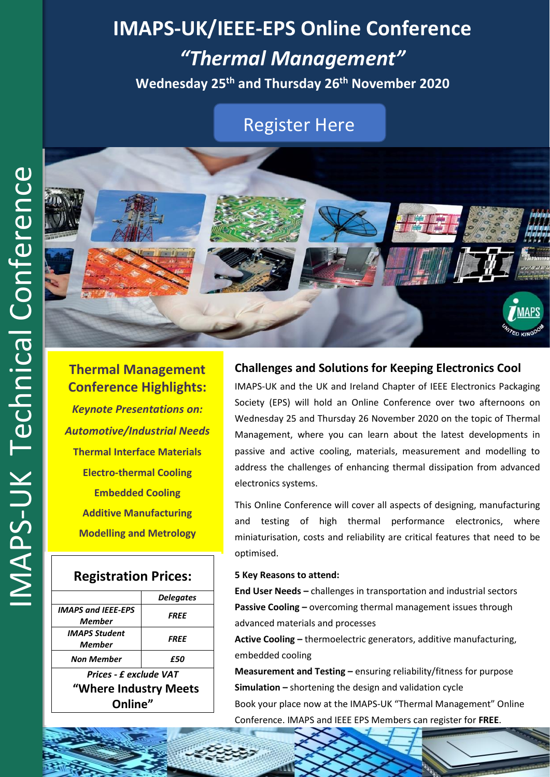# **IMAPS-UK/IEEE-EPS Online Conference** *"Thermal Management"*

**Wednesday 25th and Thursday 26 th November 2020**

## [Register Here](https://www.imaps.org.uk/events/thermal-management-online-conference/)



**Thermal Management Conference Highlights:** *Keynote Presentations on: Automotive/Industrial Needs* **Thermal Interface Materials Electro-thermal Cooling Embedded Cooling Additive Manufacturing Modelling and Metrology**

## **Registration Prices:**

|                           | <b>Delegates</b>   |
|---------------------------|--------------------|
| <b>IMAPS and IEEE-EPS</b> | <i><b>FREE</b></i> |
| Memher                    |                    |
| <b>IMAPS Student</b>      | <i>FREE</i>        |
| Member                    |                    |
| Non Member                | £50                |
| Prices - £ exclude VAT    |                    |
| "Where Industry Meets     |                    |
| Online"                   |                    |

## **Challenges and Solutions for Keeping Electronics Cool**

IMAPS-UK and the UK and Ireland Chapter of IEEE Electronics Packaging Society (EPS) will hold an Online Conference over two afternoons on Wednesday 25 and Thursday 26 November 2020 on the topic of Thermal Management, where you can learn about the latest developments in passive and active cooling, materials, measurement and modelling to address the challenges of enhancing thermal dissipation from advanced electronics systems.

This Online Conference will cover all aspects of designing, manufacturing and testing of high thermal performance electronics, where miniaturisation, costs and reliability are critical features that need to be optimised.

#### **5 Key Reasons to attend:**

**End User Needs –** challenges in transportation and industrial sectors **Passive Cooling –** overcoming thermal management issues through advanced materials and processes

**Active Cooling –** thermoelectric generators, additive manufacturing, embedded cooling

**Measurement and Testing –** ensuring reliability/fitness for purpose **Simulation –** shortening the design and validation cycle Book your place now at the IMAPS-UK "Thermal Management" Online Conference. IMAPS and IEEE EPS Members can register for **FREE**.